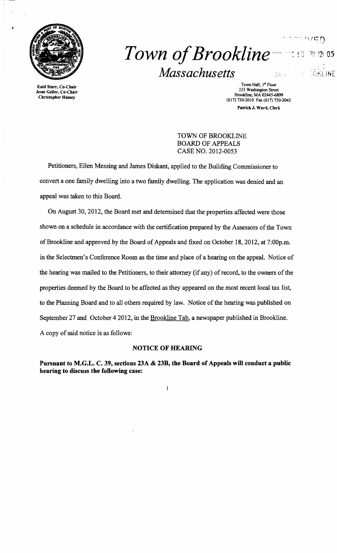

,

# . .1 J-... *;'.J* ," I" *Town o/Brookline"'"* : <sup>J</sup>i :,J 12: as *Massachusetts*  BOKLINE a MC

Town Hall, 1<sup>9</sup> Floor Town Hall, 1<sup>9</sup> Floor<br> **Town Hall, 1<sup>9</sup> Floor**<br>
333 Washington Street<br>
233 Washington Street<br>
233 Washington Street<br>
233 Washington Street<br>
233 Washington Street<br>
250 Christopher Hussey PatrickJ. Ward. Clerk

 $\sim$  " $\sim$  ",  $\sim$   $\sim$   $\sim$ 

TOWN OF BROOKLINE BOARD OF APPEALS CASE NO. 2012-0053

Petitioners, Ellen Messing and James Diskant, applied to the Building Commissioner to convert a one family dwelling into a two family dwelling. The application was denied and an appeal was taken to this Board.

On August 30, 2012, the Board met and determined that the properties affected were those shown on a schedule in accordance with the certification prepared by the Assessors of the Town of Brookline and approved by the Board of Appeals and fixed on October 18,2012, at 7:00p.m. in the Selectmen's Conference Room as the time and place of a hearing on the appeal. Notice of the hearing was mailed to the Petitioners, to their attorney (if any) of record, to the owners of the properties deemed by the Board to be affected as they appeared on the most recent local tax list, to the Planning Board and to all others required by law. Notice of the hearing was published on September 27 and October 42012, in the Brookline Tab, a newspaper published in Brookline. A copy of said notice is as follows:

#### NOTICE OF HEARING

Pursuant to M.G.L. C. 39, sections 23A & 23B, the Board of Appeals will conduct a public hearing to discuss the following case:

 $\mathbf{1}$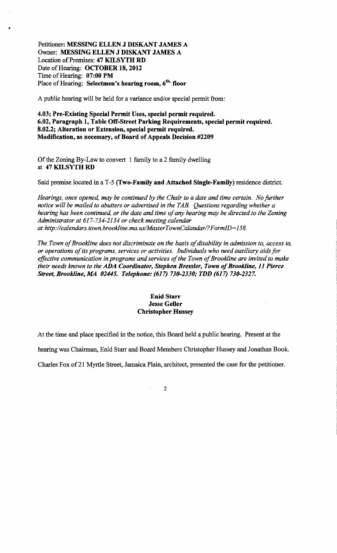Petitioner: MESSING ELLEN J DISKANT JAMES A Owner: MESSING ELLEN J DISKANT JAMES A Location of Premises: 47 KILSYTH RD Date of Hearing: OCTOBER 18, 2012 Time of Hearing: 07:00 PM Place of Hearing: Selectmen's hearing room, 6<sup>th.</sup> floor

r

A public hearing will be held for a variance and/or special permit from:

4.03; Pre-Existing Special Permit Uses, special permit required. 6.02, Paragraph 1, Table Off-Street Parking Requirements, special permit required. 8.02.2; Alteration or Extension, special permit required. Modification, as necessary, of Board of Appeals Decision #2209

Of the Zoning By-Law to convert 1 family to a 2 family dwelling at 47 KILSYTH RD

Said premise located in a T-5 (Two-Family and Attached Single-Family) residence district.

*Hearings, once opened, may be continued by the Chair to a date and time certain. No further notice will be mailed to abutters or advertised in the TAB. Questions regarding whether a*  hearing has been continued, or the date and time of any hearing may be directed to the Zoning *Administrator at* 617-734-2134 *or check meeting calendar at:http://calendars. town. brookline. ma. uslMasterTownCalandarl? FormID= 158.* 

The Town of Brookline does not discriminate on the basis of disability in admission to, access to, *or operations ofits programs, services or activities. Individuals who need auxiliary aids for*  effective communication in programs and services of the Town of Brookline are invited to make *their needs known to the* ADA *Coordinator, Stephen Bressler, Town ofBrookline,* 11 *Pierce Street, Brookline, MA 02445. Telephone:* (617) *730-2330; TDD* (617) *730-2327.* 

## Enid Starr Jesse Geller Christopher Hussey

At the time and place specified in the notice, this Board held a public hearing. Present at the

hearing was Chairman, Enid Starr and Board Members Christopher Hussey and Jonathan Book.

Charles Fox of21 'Myrtle Street, Jamaica Plain, architect, presented the case for the petitioner.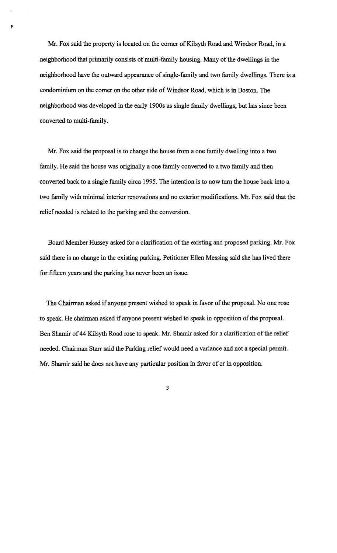Mr. Fox said the property is located on the corner of Kilsyth Road and Windsor Road, in a neighborhood that primarily consists of multi-family housing. Many of the dwellings in the neighborhood have the outward appearance of single-family and two family dwellings. There is a condominium on the comer on the other side of Windsor Road, which is in Boston. The neighborhood was developed in the early 1900s as single family dwellings, but has since been converted to multi-family.

Mr. Fox said the proposal is to change the house from a one family dwelling into a two family. He said the house was originally a one family converted to a two family and then converted back to a single family circa 1995. The intention is to now tum the house back into a two family with minimal interior renovations and no exterior modifications. Mr. Fox said that the relief needed is related to the parking and the conversion.

Board Member Hussey asked for a clarification of the existing and proposed parking. Mr. Fox said there is no change in the existing parking. Petitioner Ellen Messing said she has lived there for fifteen years and the parking has never been an issue.

The Chairman asked if anyone present wished to speak in favor of the proposal. No one rose to speak. He chairman asked if anyone present wished to speak in opposition of the proposal. Ben Shamir of 44 Kilsyth Road rose to speak. Mr. Shamir asked for a clarification of the relief needed. Chairman Starr said the Parking relief would need a variance and not a special permit. Mr. Shamir said he does not have any particular position in favor of or in opposition.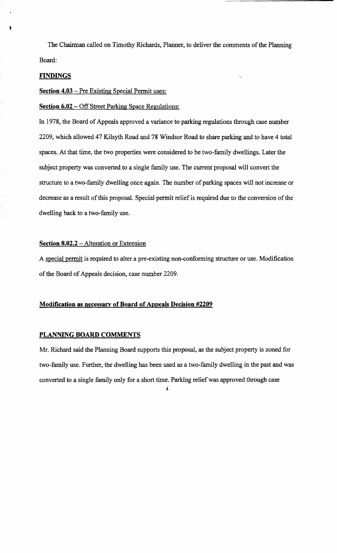The Chairman called on Timothy Richards, Planner, to deliver the comments of the Planning Board:

### **FINDINGS**

## **Section 4.03** – Pre Existing Special Permit uses:

# **Section 6.02 – Off Street Parking Space Regulations:**

In 1978, the Board of Appeals approved a variance to parking regulations through case number 2209, which allowed 47 Kilsyth Road and 78 Windsor Road to share parking and to have 4 total spaces. At that time, the two properties were considered to be two-family dwellings. Later the subject property was converted to a single family use. The current proposal will convert the structure to a two-family dwelling once again. The number of parking spaces will not increase or decrease as a result of this proposal. Special permit relief is required due to the conversion of the dwelling back to a two-family use.

#### **Section 8.02.2 – Alteration or Extension**

A special permit is required to alter a pre-existing non-conforming structure or use. Modification of the Board of Appeals decision, case number 2209.

#### **Modification as necessary of Board of Appeals Decision #2209**

## **PLANNING BOARD COMMENTS**

Mr. Richard said the Planning Board supports this proposal, as the subject property is zoned for two-family use. Further, the dwelling has been used as a two-family dwelling in the past and was converted to a single family only for a short time. Parking relief was approved through case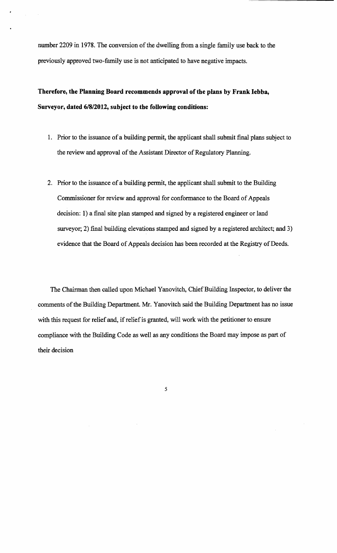number 2209 in 1978. The conversion of the dwelling from a single family use back to the previously approved two-family use is not anticipated to have negative impacts.

**Therefore, the Planning Board recommends approval of the plans by Frank Iebba, Surveyor, dated 6/8/2012, subject to the following conditions:** 

- 1. Prior to the issuance of a building permit, the applicant shall submit final plans subject to the review and approval of the Assistant Director of Regulatory Planning.
- 2. Prior to the issuance of a building permit, the applicant shall submit to the Building Commissioner for review and approval for conformance to the Board of Appeals decision: 1) a final site plan stamped and signed by a registered engineer or land surveyor, 2) final building elevations stamped and signed by a registered architect; and 3) evidence that the Board of Appeals decision has been recorded at the Registry of Deeds.

The Chairman then called upon Michael Yanovitch, Chief Building Inspector, to deliver the comments of the Building Department. Mr. Yanovitch said the Building Department has no issue with this request for relief and, if relief is granted, will work with the petitioner to ensure compliance with the Building Code as well as any conditions the Board may impose as part of their decision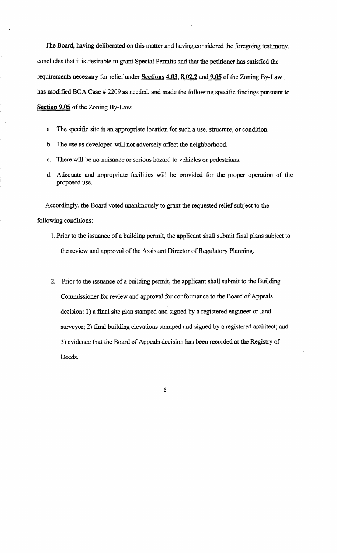The Board, having deliberated on this matter and having. considered the foregoing testimony, concludes that it is desirable to grant Special Permits and that the petitioner has satisfied the requirements necessary for relief under Sections 4.03, 8.02.2 and 9.05 of the Zoning By-Law, has modified BOA Case # 2209 as needed, and made the following specific findings pursuant to Section 9.05 of the Zoning By-Law:

- a. The specific site is an appropriate location for such a use, structure, or condition.
- b. The use as developed will not adversely affect the neighborhood.
- c. There will be no nuisance or serious hazard to vehicles or pedestrians.
- d. Adequate and appropriate facilities will be provided for the proper operation of the proposed use.

Accordingly, the Board voted unanimously to grant the requested relief subject to the following conditions:

- 1. Prior to the issuance of a building permit, the applicant shall submit final plans subject to the review and approval of the Assistant Director of Regulatory Planning.
- 2. Prior to the issuance of a building permit, the applicant shall submit to the Building Commissioner for review and approval for conformance to the Board of Appeals decision: 1) a final site plan stamped and signed by a registered engineer or land surveyor; 2) final building elevations stamped and signed by a registered architect; and 3) evidence that the Board of Appeals decision has been recorded at the Registry of Deeds.